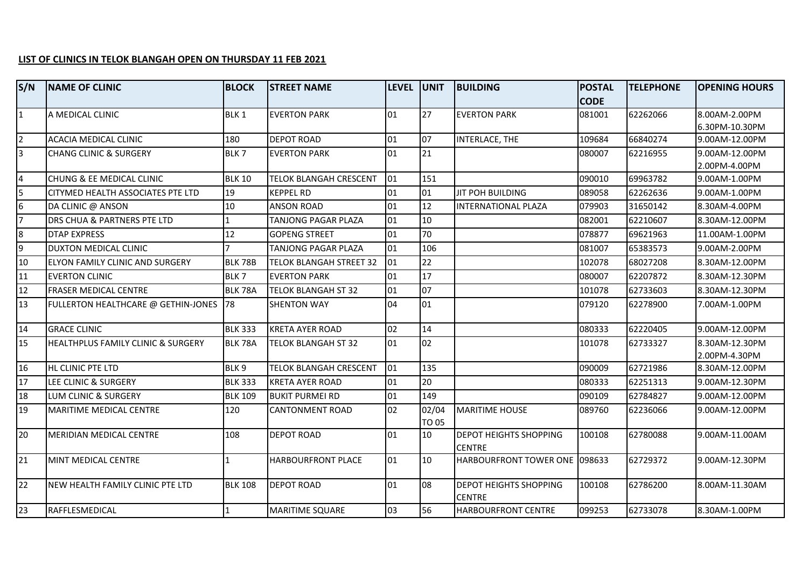## **LIST OF CLINICS IN TELOK BLANGAH OPEN ON THURSDAY 11 FEB 2021**

| S/N            | <b>NAME OF CLINIC</b>               | <b>BLOCK</b>     | <b>STREET NAME</b>             | <b>LEVEL UNIT</b> |                       | <b>BUILDING</b>                                | <b>POSTAL</b> | <b>TELEPHONE</b> | <b>OPENING HOURS</b> |
|----------------|-------------------------------------|------------------|--------------------------------|-------------------|-----------------------|------------------------------------------------|---------------|------------------|----------------------|
|                |                                     |                  |                                |                   |                       |                                                | <b>CODE</b>   |                  |                      |
| $\mathbf{1}$   | A MEDICAL CLINIC                    | <b>BLK1</b>      | <b>EVERTON PARK</b>            | 101               | 27                    | <b>EVERTON PARK</b>                            | 081001        | 62262066         | 8.00AM-2.00PM        |
|                |                                     |                  |                                |                   |                       |                                                |               |                  | 6.30PM-10.30PM       |
| $\overline{2}$ | <b>ACACIA MEDICAL CLINIC</b>        | 180              | <b>DEPOT ROAD</b>              | 01                | 07                    | INTERLACE, THE                                 | 109684        | 66840274         | 9.00AM-12.00PM       |
| 3              | <b>CHANG CLINIC &amp; SURGERY</b>   | BLK7             | <b>EVERTON PARK</b>            | 01                | 21                    |                                                | 080007        | 62216955         | 9.00AM-12.00PM       |
|                |                                     |                  |                                |                   |                       |                                                |               |                  | 2.00PM-4.00PM        |
| 4              | CHUNG & EE MEDICAL CLINIC           | <b>BLK 10</b>    | <b>TELOK BLANGAH CRESCENT</b>  | 01                | 151                   |                                                | 090010        | 69963782         | 9.00AM-1.00PM        |
| 5              | CITYMED HEALTH ASSOCIATES PTE LTD   | 19               | <b>KEPPEL RD</b>               | 01                | 01                    | JIT POH BUILDING                               | 089058        | 62262636         | 9.00AM-1.00PM        |
| 6              | DA CLINIC @ ANSON                   | 10               | <b>ANSON ROAD</b>              | 01                | 12                    | <b>IINTERNATIONAL PLAZA</b>                    | 079903        | 31650142         | 8.30AM-4.00PM        |
| $\overline{7}$ | DRS CHUA & PARTNERS PTE LTD         |                  | TANJONG PAGAR PLAZA            | 01                | 10                    |                                                | 082001        | 62210607         | 8.30AM-12.00PM       |
| $\overline{8}$ | <b>DTAP EXPRESS</b>                 | 12               | <b>GOPENG STREET</b>           | 01                | 70                    |                                                | 078877        | 69621963         | 11.00AM-1.00PM       |
| 9              | <b>DUXTON MEDICAL CLINIC</b>        | $\overline{ }$   | TANJONG PAGAR PLAZA            | $\log$            | 106                   |                                                | 081007        | 65383573         | 9.00AM-2.00PM        |
| 10             | ELYON FAMILY CLINIC AND SURGERY     | <b>BLK 78B</b>   | <b>TELOK BLANGAH STREET 32</b> | 01                | 22                    |                                                | 102078        | 68027208         | 8.30AM-12.00PM       |
| 11             | <b>EVERTON CLINIC</b>               | BLK <sub>7</sub> | <b>EVERTON PARK</b>            | 01                | 17                    |                                                | 080007        | 62207872         | 8.30AM-12.30PM       |
| 12             | <b>FRASER MEDICAL CENTRE</b>        | <b>BLK 78A</b>   | <b>TELOK BLANGAH ST 32</b>     | 01                | $\overline{07}$       |                                                | 101078        | 62733603         | 8.30AM-12.30PM       |
| 13             | FULLERTON HEALTHCARE @ GETHIN-JONES | 78               | <b>SHENTON WAY</b>             | lo4               | 01                    |                                                | 079120        | 62278900         | 7.00AM-1.00PM        |
| 14             | <b>GRACE CLINIC</b>                 | <b>BLK 333</b>   | <b>KRETA AYER ROAD</b>         | 02                | 14                    |                                                | 080333        | 62220405         | 9.00AM-12.00PM       |
| 15             | HEALTHPLUS FAMILY CLINIC & SURGERY  | BLK 78A          | TELOK BLANGAH ST 32            | 01                | 02                    |                                                | 101078        | 62733327         | 8.30AM-12.30PM       |
|                |                                     |                  |                                |                   |                       |                                                |               |                  | 2.00PM-4.30PM        |
| 16             | HL CLINIC PTE LTD                   | BLK <sub>9</sub> | <b>TELOK BLANGAH CRESCENT</b>  | 01                | 135                   |                                                | 090009        | 62721986         | 8.30AM-12.00PM       |
| 17             | LEE CLINIC & SURGERY                | <b>BLK 333</b>   | <b>KRETA AYER ROAD</b>         | 01                | 20                    |                                                | 080333        | 62251313         | 9.00AM-12.30PM       |
| 18             | LUM CLINIC & SURGERY                | <b>BLK 109</b>   | <b>BUKIT PURMEI RD</b>         | 01                | 149                   |                                                | 090109        | 62784827         | 9.00AM-12.00PM       |
| 19             | MARITIME MEDICAL CENTRE             | 120              | <b>CANTONMENT ROAD</b>         | 02                | 02/04<br><b>TO 05</b> | <b>MARITIME HOUSE</b>                          | 089760        | 62236066         | 9.00AM-12.00PM       |
| 20             | <b>MERIDIAN MEDICAL CENTRE</b>      | 108              | <b>DEPOT ROAD</b>              | $\overline{01}$   | 10                    | <b>DEPOT HEIGHTS SHOPPING</b>                  | 100108        | 62780088         | 9.00AM-11.00AM       |
|                |                                     |                  |                                |                   |                       | <b>CENTRE</b>                                  |               |                  |                      |
| 21             | MINT MEDICAL CENTRE                 |                  | <b>HARBOURFRONT PLACE</b>      | $\overline{01}$   | 10                    | HARBOURFRONT TOWER ONE 098633                  |               | 62729372         | 9.00AM-12.30PM       |
| 22             | NEW HEALTH FAMILY CLINIC PTE LTD    | <b>BLK 108</b>   | <b>DEPOT ROAD</b>              | $ 01\rangle$      | 08                    | <b>DEPOT HEIGHTS SHOPPING</b><br><b>CENTRE</b> | 100108        | 62786200         | 8.00AM-11.30AM       |
| 23             | RAFFLESMEDICAL                      |                  | <b>MARITIME SQUARE</b>         | 03                | 56                    | <b>HARBOURFRONT CENTRE</b>                     | 099253        | 62733078         | 8.30AM-1.00PM        |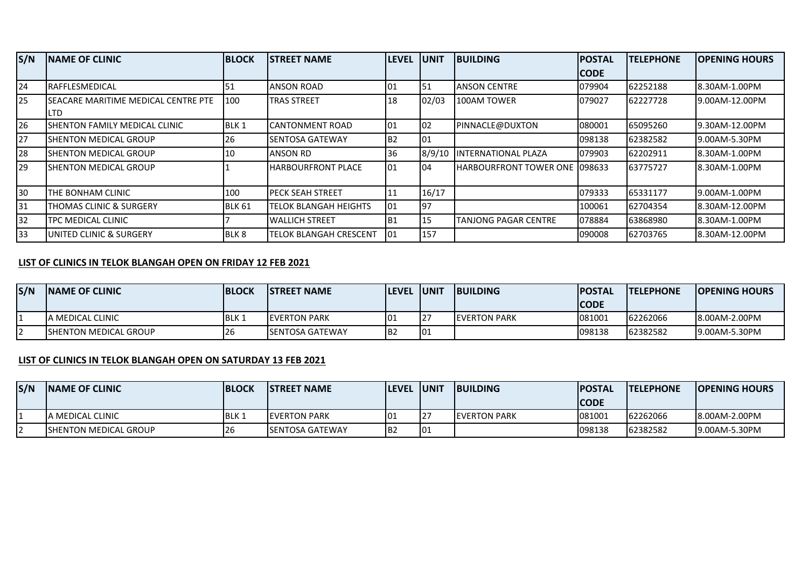| S/N | <b>INAME OF CLINIC</b>                              | <b>BLOCK</b>     | <b>ISTREET NAME</b>           | <b>LEVEL</b>    | <b>UNIT</b> | <b>BUILDING</b>                       | <b>POSTAL</b> | <b>TELEPHONE</b> | <b>OPENING HOURS</b> |
|-----|-----------------------------------------------------|------------------|-------------------------------|-----------------|-------------|---------------------------------------|---------------|------------------|----------------------|
|     |                                                     |                  |                               |                 |             |                                       | <b>ICODE</b>  |                  |                      |
| 24  | <b>IRAFFLESMEDICAL</b>                              | 51               | <b>ANSON ROAD</b>             | 101             | 51          | <b>JANSON CENTRE</b>                  | 079904        | 62252188         | 8.30AM-1.00PM        |
| 25  | <b>ISEACARE MARITIME MEDICAL CENTRE PTE</b><br>ILTD | 100              | <b>TRAS STREET</b>            | 18              | 02/03       | 100AM TOWER                           | 079027        | 62227728         | 9.00AM-12.00PM       |
| 26  | ISHENTON FAMILY MEDICAL CLINIC                      | BLK <sub>1</sub> | CANTONMENT ROAD               | 01              | 02          | PINNACLE@DUXTON                       | 080001        | 65095260         | 19.30AM-12.00PM      |
| 27  | <b>ISHENTON MEDICAL GROUP</b>                       | 26               | <b>SENTOSA GATEWAY</b>        | IB <sub>2</sub> | 01          |                                       | 098138        | 62382582         | 19.00AM-5.30PM       |
| 28  | <b>ISHENTON MEDICAL GROUP</b>                       | 10               | <b>ANSON RD</b>               | 36              | 8/9/10      | <b>IINTERNATIONAL PLAZA</b>           | 079903        | 62202911         | 8.30AM-1.00PM        |
| 29  | <b>ISHENTON MEDICAL GROUP</b>                       |                  | <b>HARBOURFRONT PLACE</b>     | 101             | 04          | <b>HARBOURFRONT TOWER ONE 1098633</b> |               | 63775727         | 8.30AM-1.00PM        |
| 30  | THE BONHAM CLINIC                                   | 100              | IPECK SEAH STREET             | 111             | 16/17       |                                       | 079333        | 65331177         | 19.00AM-1.00PM       |
| 31  | <b>THOMAS CLINIC &amp; SURGERY</b>                  | BLK 61           | <b>TELOK BLANGAH HEIGHTS</b>  | 101             | 97          |                                       | 100061        | 62704354         | 18.30AM-12.00PM      |
| 32  | <b>TPC MEDICAL CLINIC</b>                           |                  | <b>WALLICH STREET</b>         | IB1             | 15          | <b>TANJONG PAGAR CENTRE</b>           | 078884        | 63868980         | 8.30AM-1.00PM        |
| 33  | <b>JUNITED CLINIC &amp; SURGERY</b>                 | BLK 8            | <b>TELOK BLANGAH CRESCENT</b> | 101             | 157         |                                       | 090008        | 62703765         | 8.30AM-12.00PM       |

## **LIST OF CLINICS IN TELOK BLANGAH OPEN ON FRIDAY 12 FEB 2021**

| S/N      | <b>INAME OF CLINIC</b>        | <b>BLOCK</b> | <b>ISTREET NAME</b>     | <b>ILEVEL</b>   | <b>LUNIT</b> | <b>IBUILDING</b>     | <b>IPOSTAL</b> | <b>ITELEPHONE</b> | <b>IOPENING HOURS</b> |
|----------|-------------------------------|--------------|-------------------------|-----------------|--------------|----------------------|----------------|-------------------|-----------------------|
|          |                               |              |                         |                 |              |                      | ICODE          |                   |                       |
|          | IA MEDICAL CLINIC             | <b>BLK</b> 1 | <b>IEVERTON PARK</b>    | 101             | 127          | <b>IEVERTON PARK</b> | 081001         | 62262066          | 8.00AM-2.00PM         |
| <u>_</u> | <b>ISHENTON MEDICAL GROUP</b> | 26           | <b>ISENTOSA GATEWAY</b> | IB <sub>2</sub> | 101          |                      | 098138         | 62382582          | 9.00AM-5.30PM         |

## **LIST OF CLINICS IN TELOK BLANGAH OPEN ON SATURDAY 13 FEB 2021**

| S/N | <b>INAME OF CLINIC</b>        | <b>BLOCK</b> | <b>ISTREET NAME</b>     | <b>ILEVEL</b>   | <b>JUNIT</b> | <b>BUILDING</b>      | <b>POSTAL</b> | <b>ITELEPHONE</b> | <b>IOPENING HOURS</b> |
|-----|-------------------------------|--------------|-------------------------|-----------------|--------------|----------------------|---------------|-------------------|-----------------------|
|     |                               |              |                         |                 |              |                      | <b>CODE</b>   |                   |                       |
|     | <b>JA MEDICAL CLINIC</b>      | <b>BLK1</b>  | <b>IEVERTON PARK</b>    | 101             | LZ.          | <b>IEVERTON PARK</b> | 081001        | 62262066          | 8.00AM-2.00PM         |
|     | <b>ISHENTON MEDICAL GROUP</b> | 26           | <b>ISENTOSA GATEWAY</b> | IB <sub>2</sub> | 101          |                      | 098138        | 62382582          | 19.00AM-5.30PM        |